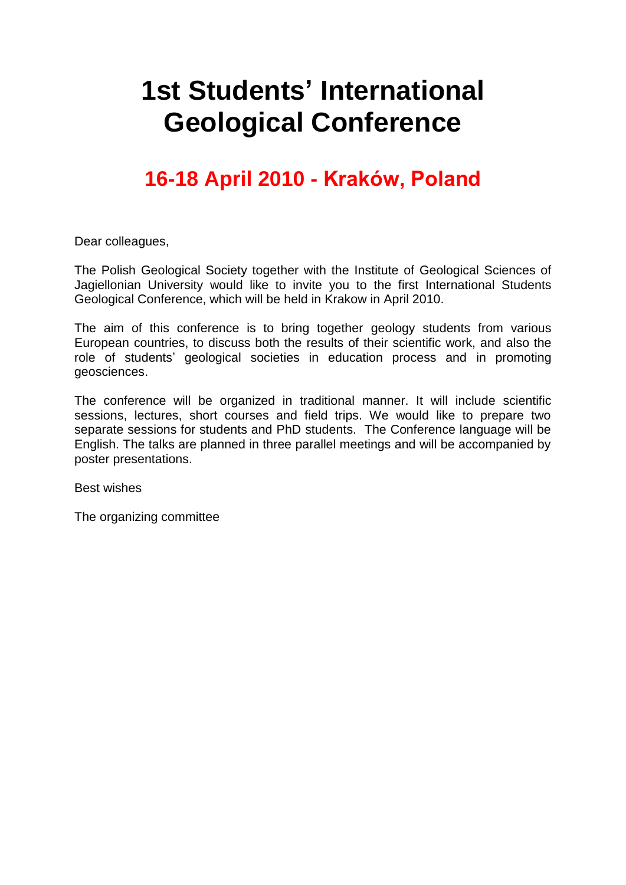# **1st Students' International Geological Conference**

# **16-18 April 2010 - Kraków, Poland**

Dear colleagues,

The Polish Geological Society together with the Institute of Geological Sciences of Jagiellonian University would like to invite you to the first International Students Geological Conference, which will be held in Krakow in April 2010.

The aim of this conference is to bring together geology students from various European countries, to discuss both the results of their scientific work, and also the role of students' geological societies in education process and in promoting geosciences.

The conference will be organized in traditional manner. It will include scientific sessions, lectures, short courses and field trips. We would like to prepare two separate sessions for students and PhD students. The Conference language will be English. The talks are planned in three parallel meetings and will be accompanied by poster presentations.

Best wishes

The organizing committee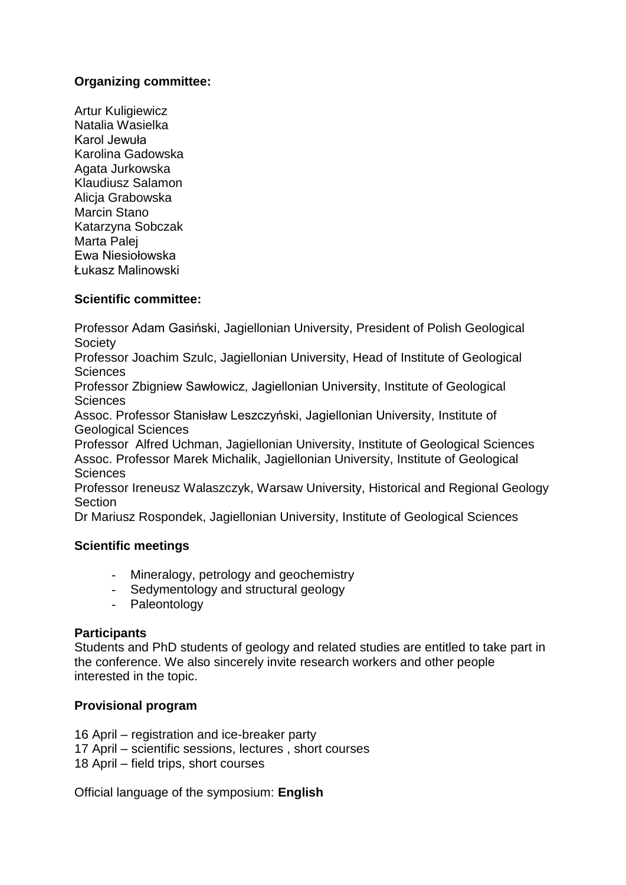# **Organizing committee:**

Artur Kuligiewicz Natalia Wasielka Karol Jewuła Karolina Gadowska Agata Jurkowska Klaudiusz Salamon Alicja Grabowska Marcin Stano Katarzyna Sobczak Marta Palej Ewa Niesiołowska Łukasz Malinowski

#### **Scientific committee:**

Professor Adam Gasiński, Jagiellonian University, President of Polish Geological **Society** 

Professor Joachim Szulc, Jagiellonian University, Head of Institute of Geological Sciences

Professor Zbigniew Sawłowicz, Jagiellonian University, Institute of Geological **Sciences** 

Assoc. Professor Stanisław Leszczyński, Jagiellonian University, Institute of Geological Sciences

Professor Alfred Uchman, Jagiellonian University, Institute of Geological Sciences Assoc. Professor Marek Michalik, Jagiellonian University, Institute of Geological **Sciences** 

Professor Ireneusz Walaszczyk, Warsaw University, Historical and Regional Geology **Section** 

Dr Mariusz Rospondek, Jagiellonian University, Institute of Geological Sciences

#### **Scientific meetings**

- Mineralogy, petrology and geochemistry
- Sedymentology and structural geology
- Paleontology

#### **Participants**

Students and PhD students of geology and related studies are entitled to take part in the conference. We also sincerely invite research workers and other people interested in the topic.

## **Provisional program**

- 16 April registration and ice-breaker party
- 17 April scientific sessions, lectures , short courses
- 18 April field trips, short courses

Official language of the symposium: **English**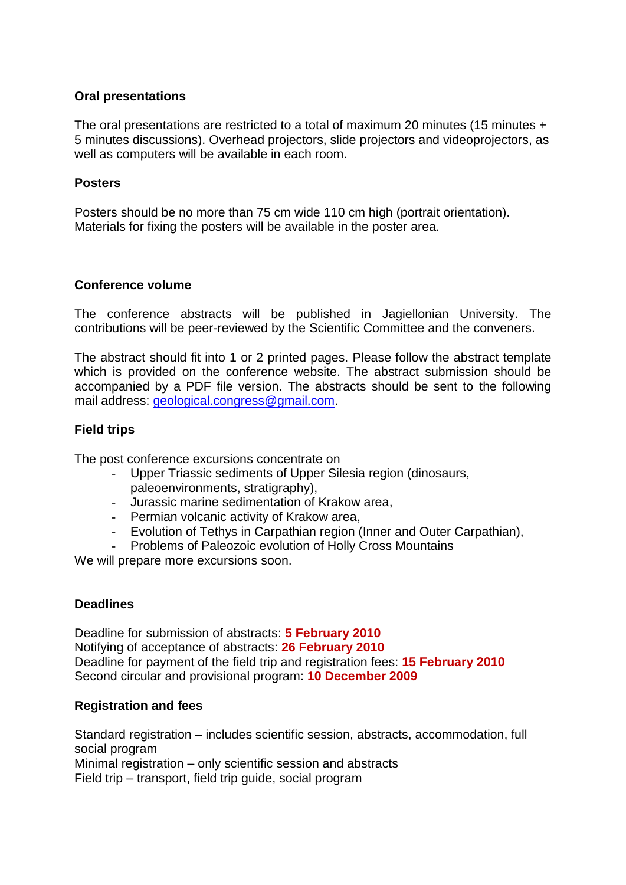#### **Oral presentations**

The oral presentations are restricted to a total of maximum 20 minutes (15 minutes + 5 minutes discussions). Overhead projectors, slide projectors and videoprojectors, as well as computers will be available in each room.

#### **Posters**

Posters should be no more than 75 cm wide 110 cm high (portrait orientation). Materials for fixing the posters will be available in the poster area.

#### **Conference volume**

The conference abstracts will be published in Jagiellonian University. The contributions will be peer-reviewed by the Scientific Committee and the conveners.

The abstract should fit into 1 or 2 printed pages. Please follow the abstract template which is provided on the conference website. The abstract submission should be accompanied by a PDF file version. The abstracts should be sent to the following mail address: [geological.congress@gmail.com.](mailto:geological.congress@gmail.com)

#### **Field trips**

The post conference excursions concentrate on

- Upper Triassic sediments of Upper Silesia region (dinosaurs, paleoenvironments, stratigraphy),
- Jurassic marine sedimentation of Krakow area,
- Permian volcanic activity of Krakow area,
- Evolution of Tethys in Carpathian region (Inner and Outer Carpathian),
- Problems of Paleozoic evolution of Holly Cross Mountains

We will prepare more excursions soon.

#### **Deadlines**

Deadline for submission of abstracts: **5 February 2010** Notifying of acceptance of abstracts: **26 February 2010** Deadline for payment of the field trip and registration fees: **15 February 2010** Second circular and provisional program: **10 December 2009**

#### **Registration and fees**

Standard registration – includes scientific session, abstracts, accommodation, full social program Minimal registration – only scientific session and abstracts

Field trip – transport, field trip guide, social program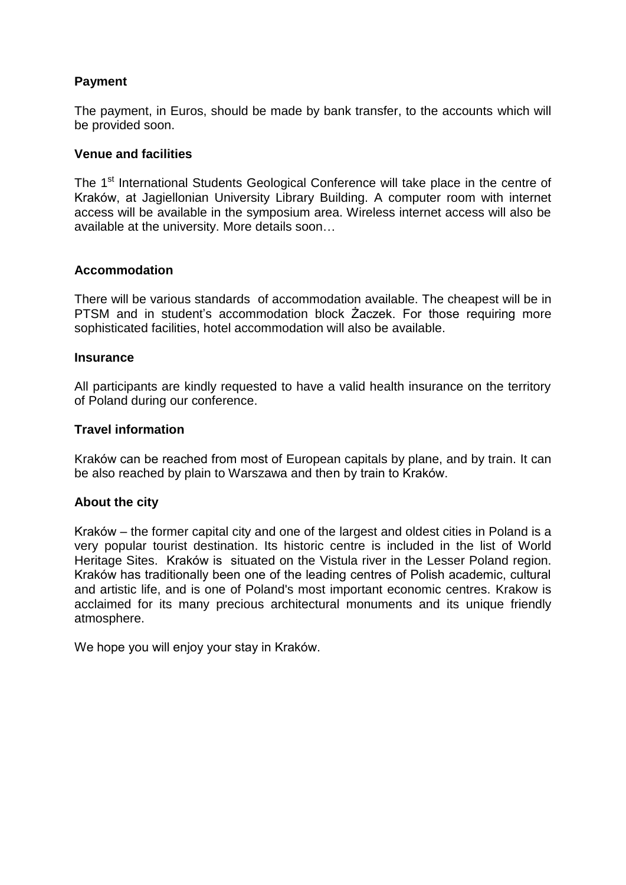## **Payment**

The payment, in Euros, should be made by bank transfer, to the accounts which will be provided soon.

#### **Venue and facilities**

The 1<sup>st</sup> International Students Geological Conference will take place in the centre of Kraków, at Jagiellonian University Library Building. A computer room with internet access will be available in the symposium area. Wireless internet access will also be available at the university. More details soon…

#### **Accommodation**

There will be various standards of accommodation available. The cheapest will be in PTSM and in student's accommodation block Żaczek. For those requiring more sophisticated facilities, hotel accommodation will also be available.

#### **Insurance**

All participants are kindly requested to have a valid health insurance on the territory of Poland during our conference.

#### **Travel information**

Kraków can be reached from most of European capitals by plane, and by train. It can be also reached by plain to Warszawa and then by train to Kraków.

#### **About the city**

Kraków – the former capital city and one of the largest and [oldest cities](http://en.wikipedia.org/wiki/List_of_cities_by_time_of_continuous_habitation) in [Poland](http://en.wikipedia.org/wiki/Poland) is a very popular [tourist destination.](http://en.wikipedia.org/wiki/Tourist_destination) [Its historic centre](http://en.wikipedia.org/wiki/Krak%C3%B3w_-_Stare_Miasto) is included in the list of [World](http://en.wikipedia.org/wiki/World_Heritage_Site)  [Heritage Sites.](http://en.wikipedia.org/wiki/World_Heritage_Site) Kraków is situated on the [Vistula](http://en.wikipedia.org/wiki/Vistula_River) river in the [Lesser Poland](http://en.wikipedia.org/wiki/Lesser_Poland) region. Kraków has traditionally been one of the leading centres of Polish academic, cultural and artistic life, and is one of Poland's most important economic centres. Krakow is acclaimed for its many precious architectural monuments and its unique friendly atmosphere.

We hope you will enjoy your stay in Kraków.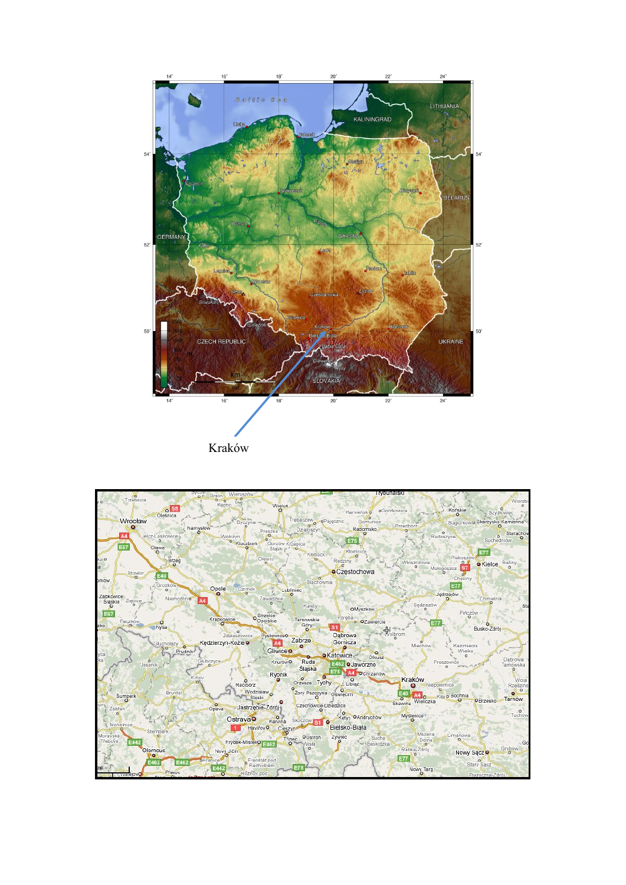